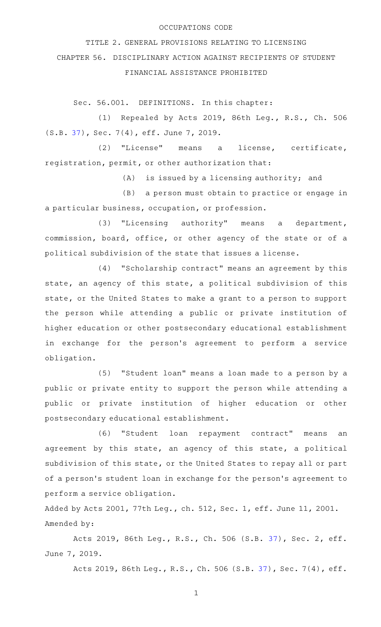## OCCUPATIONS CODE

TITLE 2. GENERAL PROVISIONS RELATING TO LICENSING CHAPTER 56. DISCIPLINARY ACTION AGAINST RECIPIENTS OF STUDENT FINANCIAL ASSISTANCE PROHIBITED

Sec. 56.001. DEFINITIONS. In this chapter:

(1) Repealed by Acts 2019, 86th Leg., R.S., Ch. 506 (S.B. [37\)](http://www.legis.state.tx.us/tlodocs/86R/billtext/html/SB00037F.HTM), Sec. 7(4), eff. June 7, 2019.

(2) "License" means a license, certificate, registration, permit, or other authorization that:

 $(A)$  is issued by a licensing authority; and

(B) a person must obtain to practice or engage in a particular business, occupation, or profession.

 $(3)$  "Licensing authority" means a department, commission, board, office, or other agency of the state or of a political subdivision of the state that issues a license.

(4) "Scholarship contract" means an agreement by this state, an agency of this state, a political subdivision of this state, or the United States to make a grant to a person to support the person while attending a public or private institution of higher education or other postsecondary educational establishment in exchange for the person's agreement to perform a service obligation.

(5) "Student loan" means a loan made to a person by a public or private entity to support the person while attending a public or private institution of higher education or other postsecondary educational establishment.

(6) "Student loan repayment contract" means an agreement by this state, an agency of this state, a political subdivision of this state, or the United States to repay all or part of a person 's student loan in exchange for the person 's agreement to perform a service obligation.

Added by Acts 2001, 77th Leg., ch. 512, Sec. 1, eff. June 11, 2001. Amended by:

Acts 2019, 86th Leg., R.S., Ch. 506 (S.B. [37](http://www.legis.state.tx.us/tlodocs/86R/billtext/html/SB00037F.HTM)), Sec. 2, eff. June 7, 2019.

Acts 2019, 86th Leg., R.S., Ch. 506 (S.B. [37\)](http://www.legis.state.tx.us/tlodocs/86R/billtext/html/SB00037F.HTM), Sec. 7(4), eff.

1